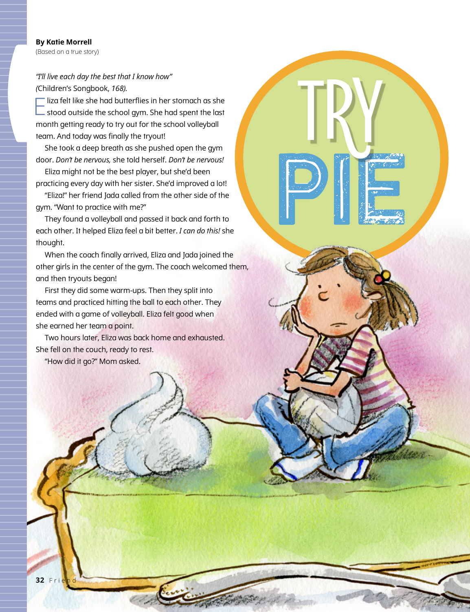## *"I'll live each day the best that I know how" (*Children's Songbook, *168).*

Eliza felt like she had butterflies in her stomach as she stood outside the school gym. She had spent the last month getting ready to try out for the school volleyball team. And today was finally the tryout!

She took a deep breath as she pushed open the gym door. *Don't be nervous,* she told herself. *Don't be nervous!*

Eliza might not be the best player, but she'd been practicing every day with her sister. She'd improved a lot!

"Eliza!" her friend Jada called from the other side of the gym. "Want to practice with me?"

**Pierre** 

TRY

They found a volleyball and passed it back and forth to each other. It helped Eliza feel a bit better. *I can do this!* she thought.

When the coach finally arrived, Eliza and Jada joined the other girls in the center of the gym. The coach welcomed them, and then tryouts began!

First they did some warm-ups. Then they split into teams and practiced hitting the ball to each other. They ended with a game of volleyball. Eliza felt good when she earned her team a point.

Two hours later, Eliza was back home and exhausted. She fell on the couch, ready to rest.

"How did it go?" Mom asked.